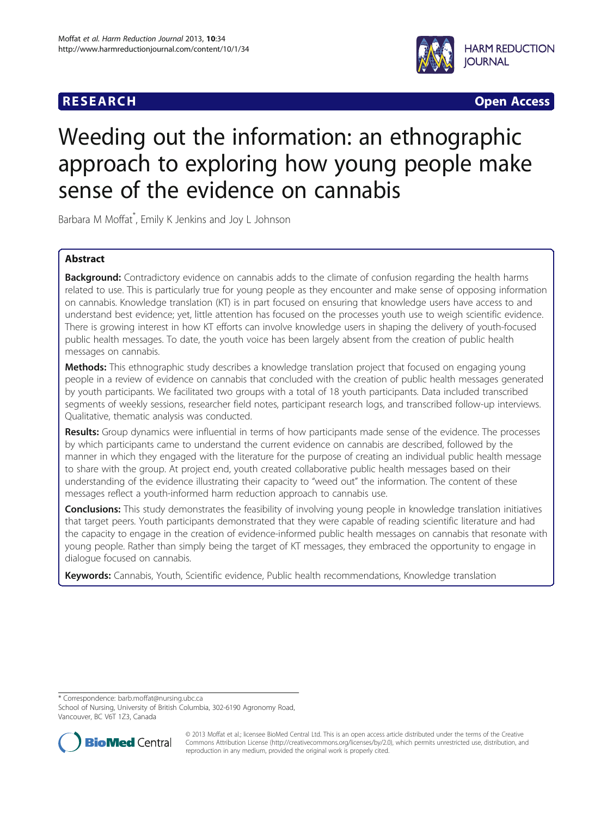



# Weeding out the information: an ethnographic approach to exploring how young people make sense of the evidence on cannabis

Barbara M Moffat\* , Emily K Jenkins and Joy L Johnson

# Abstract

Background: Contradictory evidence on cannabis adds to the climate of confusion regarding the health harms related to use. This is particularly true for young people as they encounter and make sense of opposing information on cannabis. Knowledge translation (KT) is in part focused on ensuring that knowledge users have access to and understand best evidence; yet, little attention has focused on the processes youth use to weigh scientific evidence. There is growing interest in how KT efforts can involve knowledge users in shaping the delivery of youth-focused public health messages. To date, the youth voice has been largely absent from the creation of public health messages on cannabis.

**Methods:** This ethnographic study describes a knowledge translation project that focused on engaging young people in a review of evidence on cannabis that concluded with the creation of public health messages generated by youth participants. We facilitated two groups with a total of 18 youth participants. Data included transcribed segments of weekly sessions, researcher field notes, participant research logs, and transcribed follow-up interviews. Qualitative, thematic analysis was conducted.

Results: Group dynamics were influential in terms of how participants made sense of the evidence. The processes by which participants came to understand the current evidence on cannabis are described, followed by the manner in which they engaged with the literature for the purpose of creating an individual public health message to share with the group. At project end, youth created collaborative public health messages based on their understanding of the evidence illustrating their capacity to "weed out" the information. The content of these messages reflect a youth-informed harm reduction approach to cannabis use.

Conclusions: This study demonstrates the feasibility of involving young people in knowledge translation initiatives that target peers. Youth participants demonstrated that they were capable of reading scientific literature and had the capacity to engage in the creation of evidence-informed public health messages on cannabis that resonate with young people. Rather than simply being the target of KT messages, they embraced the opportunity to engage in dialogue focused on cannabis.

Keywords: Cannabis, Youth, Scientific evidence, Public health recommendations, Knowledge translation

\* Correspondence: [barb.moffat@nursing.ubc.ca](mailto:barb.moffat@nursing.ubc.ca)

School of Nursing, University of British Columbia, 302-6190 Agronomy Road, Vancouver, BC V6T 1Z3, Canada



© 2013 Moffat et al.; licensee BioMed Central Ltd. This is an open access article distributed under the terms of the Creative Commons Attribution License [\(http://creativecommons.org/licenses/by/2.0\)](http://creativecommons.org/licenses/by/2.0), which permits unrestricted use, distribution, and reproduction in any medium, provided the original work is properly cited.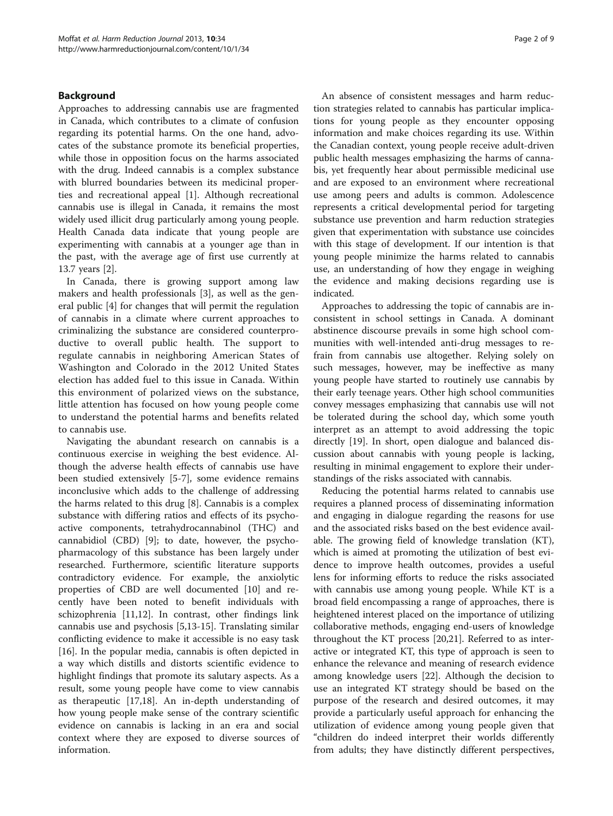# Background

Approaches to addressing cannabis use are fragmented in Canada, which contributes to a climate of confusion regarding its potential harms. On the one hand, advocates of the substance promote its beneficial properties, while those in opposition focus on the harms associated with the drug. Indeed cannabis is a complex substance with blurred boundaries between its medicinal properties and recreational appeal [[1](#page-7-0)]. Although recreational cannabis use is illegal in Canada, it remains the most widely used illicit drug particularly among young people. Health Canada data indicate that young people are experimenting with cannabis at a younger age than in the past, with the average age of first use currently at 13.7 years [\[2](#page-7-0)].

In Canada, there is growing support among law makers and health professionals [\[3](#page-7-0)], as well as the general public [[4\]](#page-7-0) for changes that will permit the regulation of cannabis in a climate where current approaches to criminalizing the substance are considered counterproductive to overall public health. The support to regulate cannabis in neighboring American States of Washington and Colorado in the 2012 United States election has added fuel to this issue in Canada. Within this environment of polarized views on the substance, little attention has focused on how young people come to understand the potential harms and benefits related to cannabis use.

Navigating the abundant research on cannabis is a continuous exercise in weighing the best evidence. Although the adverse health effects of cannabis use have been studied extensively [[5-7](#page-7-0)], some evidence remains inconclusive which adds to the challenge of addressing the harms related to this drug [\[8](#page-7-0)]. Cannabis is a complex substance with differing ratios and effects of its psychoactive components, tetrahydrocannabinol (THC) and cannabidiol (CBD) [\[9](#page-7-0)]; to date, however, the psychopharmacology of this substance has been largely under researched. Furthermore, scientific literature supports contradictory evidence. For example, the anxiolytic properties of CBD are well documented [\[10](#page-7-0)] and recently have been noted to benefit individuals with schizophrenia [[11,12\]](#page-8-0). In contrast, other findings link cannabis use and psychosis [[5](#page-7-0),[13](#page-8-0)-[15\]](#page-8-0). Translating similar conflicting evidence to make it accessible is no easy task [[16\]](#page-8-0). In the popular media, cannabis is often depicted in a way which distills and distorts scientific evidence to highlight findings that promote its salutary aspects. As a result, some young people have come to view cannabis as therapeutic [[17,18\]](#page-8-0). An in-depth understanding of how young people make sense of the contrary scientific evidence on cannabis is lacking in an era and social context where they are exposed to diverse sources of information.

An absence of consistent messages and harm reduction strategies related to cannabis has particular implications for young people as they encounter opposing information and make choices regarding its use. Within the Canadian context, young people receive adult-driven public health messages emphasizing the harms of cannabis, yet frequently hear about permissible medicinal use and are exposed to an environment where recreational use among peers and adults is common. Adolescence represents a critical developmental period for targeting substance use prevention and harm reduction strategies given that experimentation with substance use coincides with this stage of development. If our intention is that young people minimize the harms related to cannabis use, an understanding of how they engage in weighing the evidence and making decisions regarding use is indicated.

Approaches to addressing the topic of cannabis are inconsistent in school settings in Canada. A dominant abstinence discourse prevails in some high school communities with well-intended anti-drug messages to refrain from cannabis use altogether. Relying solely on such messages, however, may be ineffective as many young people have started to routinely use cannabis by their early teenage years. Other high school communities convey messages emphasizing that cannabis use will not be tolerated during the school day, which some youth interpret as an attempt to avoid addressing the topic directly [\[19](#page-8-0)]. In short, open dialogue and balanced discussion about cannabis with young people is lacking, resulting in minimal engagement to explore their understandings of the risks associated with cannabis.

Reducing the potential harms related to cannabis use requires a planned process of disseminating information and engaging in dialogue regarding the reasons for use and the associated risks based on the best evidence available. The growing field of knowledge translation (KT), which is aimed at promoting the utilization of best evidence to improve health outcomes, provides a useful lens for informing efforts to reduce the risks associated with cannabis use among young people. While KT is a broad field encompassing a range of approaches, there is heightened interest placed on the importance of utilizing collaborative methods, engaging end-users of knowledge throughout the KT process [\[20,21\]](#page-8-0). Referred to as interactive or integrated KT, this type of approach is seen to enhance the relevance and meaning of research evidence among knowledge users [\[22\]](#page-8-0). Although the decision to use an integrated KT strategy should be based on the purpose of the research and desired outcomes, it may provide a particularly useful approach for enhancing the utilization of evidence among young people given that "children do indeed interpret their worlds differently from adults; they have distinctly different perspectives,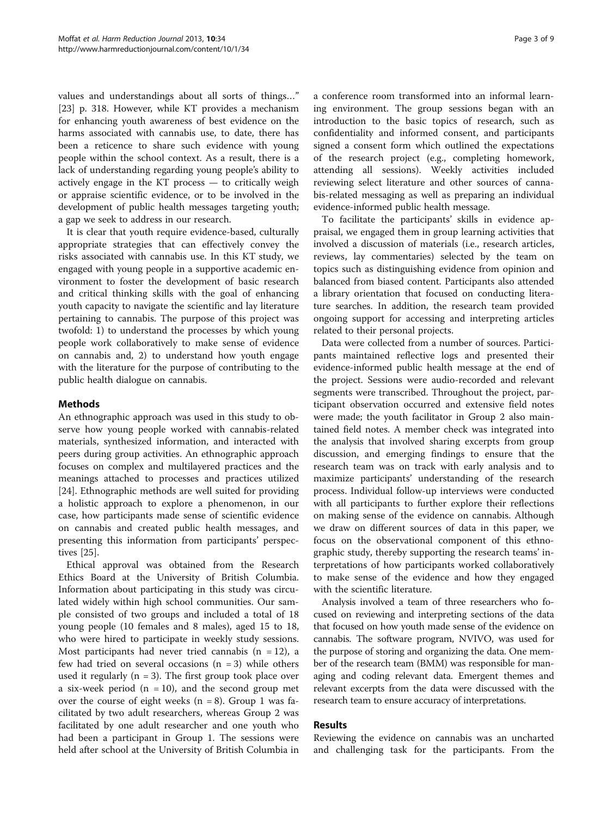values and understandings about all sorts of things…" [[23\]](#page-8-0) p. 318. However, while KT provides a mechanism for enhancing youth awareness of best evidence on the harms associated with cannabis use, to date, there has been a reticence to share such evidence with young people within the school context. As a result, there is a lack of understanding regarding young people's ability to actively engage in the KT process — to critically weigh or appraise scientific evidence, or to be involved in the development of public health messages targeting youth; a gap we seek to address in our research.

It is clear that youth require evidence-based, culturally appropriate strategies that can effectively convey the risks associated with cannabis use. In this KT study, we engaged with young people in a supportive academic environment to foster the development of basic research and critical thinking skills with the goal of enhancing youth capacity to navigate the scientific and lay literature pertaining to cannabis. The purpose of this project was twofold: 1) to understand the processes by which young people work collaboratively to make sense of evidence on cannabis and, 2) to understand how youth engage with the literature for the purpose of contributing to the public health dialogue on cannabis.

# Methods

An ethnographic approach was used in this study to observe how young people worked with cannabis-related materials, synthesized information, and interacted with peers during group activities. An ethnographic approach focuses on complex and multilayered practices and the meanings attached to processes and practices utilized [[24\]](#page-8-0). Ethnographic methods are well suited for providing a holistic approach to explore a phenomenon, in our case, how participants made sense of scientific evidence on cannabis and created public health messages, and presenting this information from participants' perspectives [\[25](#page-8-0)].

Ethical approval was obtained from the Research Ethics Board at the University of British Columbia. Information about participating in this study was circulated widely within high school communities. Our sample consisted of two groups and included a total of 18 young people (10 females and 8 males), aged 15 to 18, who were hired to participate in weekly study sessions. Most participants had never tried cannabis  $(n = 12)$ , a few had tried on several occasions  $(n = 3)$  while others used it regularly  $(n = 3)$ . The first group took place over a six-week period ( $n = 10$ ), and the second group met over the course of eight weeks  $(n = 8)$ . Group 1 was facilitated by two adult researchers, whereas Group 2 was facilitated by one adult researcher and one youth who had been a participant in Group 1. The sessions were held after school at the University of British Columbia in

a conference room transformed into an informal learning environment. The group sessions began with an introduction to the basic topics of research, such as confidentiality and informed consent, and participants signed a consent form which outlined the expectations of the research project (e.g., completing homework, attending all sessions). Weekly activities included reviewing select literature and other sources of cannabis-related messaging as well as preparing an individual evidence-informed public health message.

To facilitate the participants' skills in evidence appraisal, we engaged them in group learning activities that involved a discussion of materials (i.e., research articles, reviews, lay commentaries) selected by the team on topics such as distinguishing evidence from opinion and balanced from biased content. Participants also attended a library orientation that focused on conducting literature searches. In addition, the research team provided ongoing support for accessing and interpreting articles related to their personal projects.

Data were collected from a number of sources. Participants maintained reflective logs and presented their evidence-informed public health message at the end of the project. Sessions were audio-recorded and relevant segments were transcribed. Throughout the project, participant observation occurred and extensive field notes were made; the youth facilitator in Group 2 also maintained field notes. A member check was integrated into the analysis that involved sharing excerpts from group discussion, and emerging findings to ensure that the research team was on track with early analysis and to maximize participants' understanding of the research process. Individual follow-up interviews were conducted with all participants to further explore their reflections on making sense of the evidence on cannabis. Although we draw on different sources of data in this paper, we focus on the observational component of this ethnographic study, thereby supporting the research teams' interpretations of how participants worked collaboratively to make sense of the evidence and how they engaged with the scientific literature.

Analysis involved a team of three researchers who focused on reviewing and interpreting sections of the data that focused on how youth made sense of the evidence on cannabis. The software program, NVIVO, was used for the purpose of storing and organizing the data. One member of the research team (BMM) was responsible for managing and coding relevant data. Emergent themes and relevant excerpts from the data were discussed with the research team to ensure accuracy of interpretations.

# Results

Reviewing the evidence on cannabis was an uncharted and challenging task for the participants. From the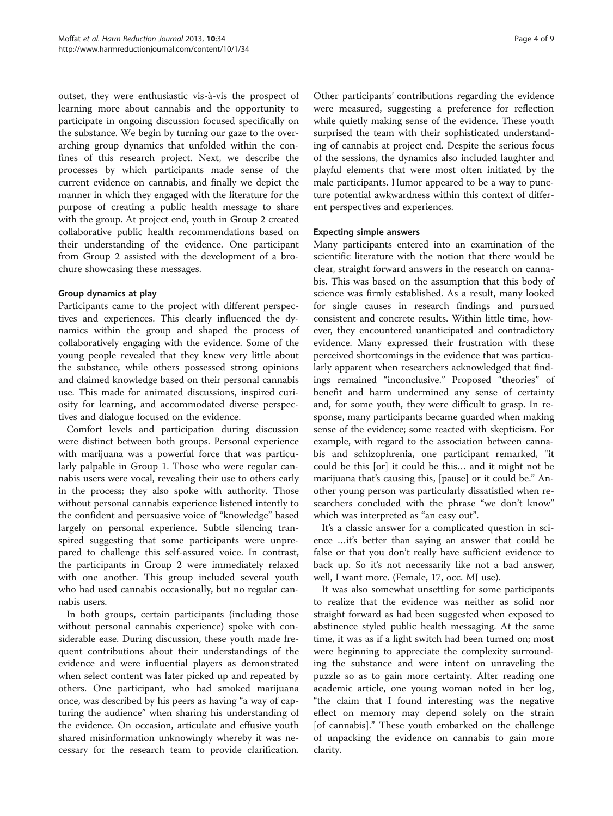outset, they were enthusiastic vis-à-vis the prospect of learning more about cannabis and the opportunity to participate in ongoing discussion focused specifically on the substance. We begin by turning our gaze to the overarching group dynamics that unfolded within the confines of this research project. Next, we describe the processes by which participants made sense of the current evidence on cannabis, and finally we depict the manner in which they engaged with the literature for the purpose of creating a public health message to share with the group. At project end, youth in Group 2 created collaborative public health recommendations based on their understanding of the evidence. One participant from Group 2 assisted with the development of a brochure showcasing these messages.

# Group dynamics at play

Participants came to the project with different perspectives and experiences. This clearly influenced the dynamics within the group and shaped the process of collaboratively engaging with the evidence. Some of the young people revealed that they knew very little about the substance, while others possessed strong opinions and claimed knowledge based on their personal cannabis use. This made for animated discussions, inspired curiosity for learning, and accommodated diverse perspectives and dialogue focused on the evidence.

Comfort levels and participation during discussion were distinct between both groups. Personal experience with marijuana was a powerful force that was particularly palpable in Group 1. Those who were regular cannabis users were vocal, revealing their use to others early in the process; they also spoke with authority. Those without personal cannabis experience listened intently to the confident and persuasive voice of "knowledge" based largely on personal experience. Subtle silencing transpired suggesting that some participants were unprepared to challenge this self-assured voice. In contrast, the participants in Group 2 were immediately relaxed with one another. This group included several youth who had used cannabis occasionally, but no regular cannabis users.

In both groups, certain participants (including those without personal cannabis experience) spoke with considerable ease. During discussion, these youth made frequent contributions about their understandings of the evidence and were influential players as demonstrated when select content was later picked up and repeated by others. One participant, who had smoked marijuana once, was described by his peers as having "a way of capturing the audience" when sharing his understanding of the evidence. On occasion, articulate and effusive youth shared misinformation unknowingly whereby it was necessary for the research team to provide clarification.

Other participants' contributions regarding the evidence were measured, suggesting a preference for reflection while quietly making sense of the evidence. These youth surprised the team with their sophisticated understanding of cannabis at project end. Despite the serious focus of the sessions, the dynamics also included laughter and playful elements that were most often initiated by the male participants. Humor appeared to be a way to puncture potential awkwardness within this context of different perspectives and experiences.

# Expecting simple answers

Many participants entered into an examination of the scientific literature with the notion that there would be clear, straight forward answers in the research on cannabis. This was based on the assumption that this body of science was firmly established. As a result, many looked for single causes in research findings and pursued consistent and concrete results. Within little time, however, they encountered unanticipated and contradictory evidence. Many expressed their frustration with these perceived shortcomings in the evidence that was particularly apparent when researchers acknowledged that findings remained "inconclusive." Proposed "theories" of benefit and harm undermined any sense of certainty and, for some youth, they were difficult to grasp. In response, many participants became guarded when making sense of the evidence; some reacted with skepticism. For example, with regard to the association between cannabis and schizophrenia, one participant remarked, "it could be this [or] it could be this… and it might not be marijuana that's causing this, [pause] or it could be." Another young person was particularly dissatisfied when researchers concluded with the phrase "we don't know" which was interpreted as "an easy out".

It's a classic answer for a complicated question in science …it's better than saying an answer that could be false or that you don't really have sufficient evidence to back up. So it's not necessarily like not a bad answer, well, I want more. (Female, 17, occ. MJ use).

It was also somewhat unsettling for some participants to realize that the evidence was neither as solid nor straight forward as had been suggested when exposed to abstinence styled public health messaging. At the same time, it was as if a light switch had been turned on; most were beginning to appreciate the complexity surrounding the substance and were intent on unraveling the puzzle so as to gain more certainty. After reading one academic article, one young woman noted in her log, "the claim that I found interesting was the negative effect on memory may depend solely on the strain [of cannabis]." These youth embarked on the challenge of unpacking the evidence on cannabis to gain more clarity.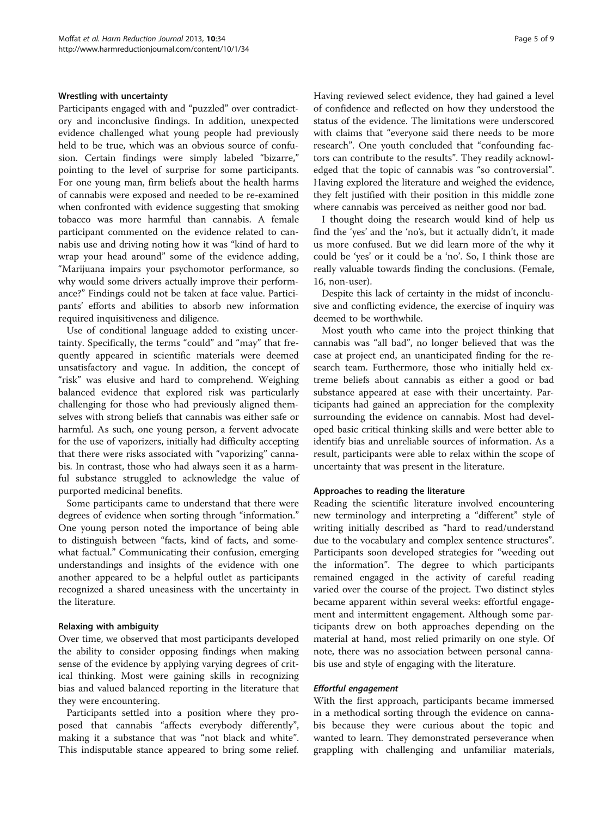# Wrestling with uncertainty

Participants engaged with and "puzzled" over contradictory and inconclusive findings. In addition, unexpected evidence challenged what young people had previously held to be true, which was an obvious source of confusion. Certain findings were simply labeled "bizarre," pointing to the level of surprise for some participants. For one young man, firm beliefs about the health harms of cannabis were exposed and needed to be re-examined when confronted with evidence suggesting that smoking tobacco was more harmful than cannabis. A female participant commented on the evidence related to cannabis use and driving noting how it was "kind of hard to wrap your head around" some of the evidence adding, "Marijuana impairs your psychomotor performance, so why would some drivers actually improve their performance?" Findings could not be taken at face value. Participants' efforts and abilities to absorb new information required inquisitiveness and diligence.

Use of conditional language added to existing uncertainty. Specifically, the terms "could" and "may" that frequently appeared in scientific materials were deemed unsatisfactory and vague. In addition, the concept of "risk" was elusive and hard to comprehend. Weighing balanced evidence that explored risk was particularly challenging for those who had previously aligned themselves with strong beliefs that cannabis was either safe or harmful. As such, one young person, a fervent advocate for the use of vaporizers, initially had difficulty accepting that there were risks associated with "vaporizing" cannabis. In contrast, those who had always seen it as a harmful substance struggled to acknowledge the value of purported medicinal benefits.

Some participants came to understand that there were degrees of evidence when sorting through "information." One young person noted the importance of being able to distinguish between "facts, kind of facts, and somewhat factual." Communicating their confusion, emerging understandings and insights of the evidence with one another appeared to be a helpful outlet as participants recognized a shared uneasiness with the uncertainty in the literature.

# Relaxing with ambiguity

Over time, we observed that most participants developed the ability to consider opposing findings when making sense of the evidence by applying varying degrees of critical thinking. Most were gaining skills in recognizing bias and valued balanced reporting in the literature that they were encountering.

Participants settled into a position where they proposed that cannabis "affects everybody differently", making it a substance that was "not black and white". This indisputable stance appeared to bring some relief. Having reviewed select evidence, they had gained a level of confidence and reflected on how they understood the status of the evidence. The limitations were underscored with claims that "everyone said there needs to be more research". One youth concluded that "confounding factors can contribute to the results". They readily acknowledged that the topic of cannabis was "so controversial". Having explored the literature and weighed the evidence, they felt justified with their position in this middle zone where cannabis was perceived as neither good nor bad.

I thought doing the research would kind of help us find the 'yes' and the 'no's, but it actually didn't, it made us more confused. But we did learn more of the why it could be 'yes' or it could be a 'no'. So, I think those are really valuable towards finding the conclusions. (Female, 16, non-user).

Despite this lack of certainty in the midst of inconclusive and conflicting evidence, the exercise of inquiry was deemed to be worthwhile.

Most youth who came into the project thinking that cannabis was "all bad", no longer believed that was the case at project end, an unanticipated finding for the research team. Furthermore, those who initially held extreme beliefs about cannabis as either a good or bad substance appeared at ease with their uncertainty. Participants had gained an appreciation for the complexity surrounding the evidence on cannabis. Most had developed basic critical thinking skills and were better able to identify bias and unreliable sources of information. As a result, participants were able to relax within the scope of uncertainty that was present in the literature.

# Approaches to reading the literature

Reading the scientific literature involved encountering new terminology and interpreting a "different" style of writing initially described as "hard to read/understand due to the vocabulary and complex sentence structures". Participants soon developed strategies for "weeding out the information". The degree to which participants remained engaged in the activity of careful reading varied over the course of the project. Two distinct styles became apparent within several weeks: effortful engagement and intermittent engagement. Although some participants drew on both approaches depending on the material at hand, most relied primarily on one style. Of note, there was no association between personal cannabis use and style of engaging with the literature.

With the first approach, participants became immersed in a methodical sorting through the evidence on cannabis because they were curious about the topic and wanted to learn. They demonstrated perseverance when grappling with challenging and unfamiliar materials,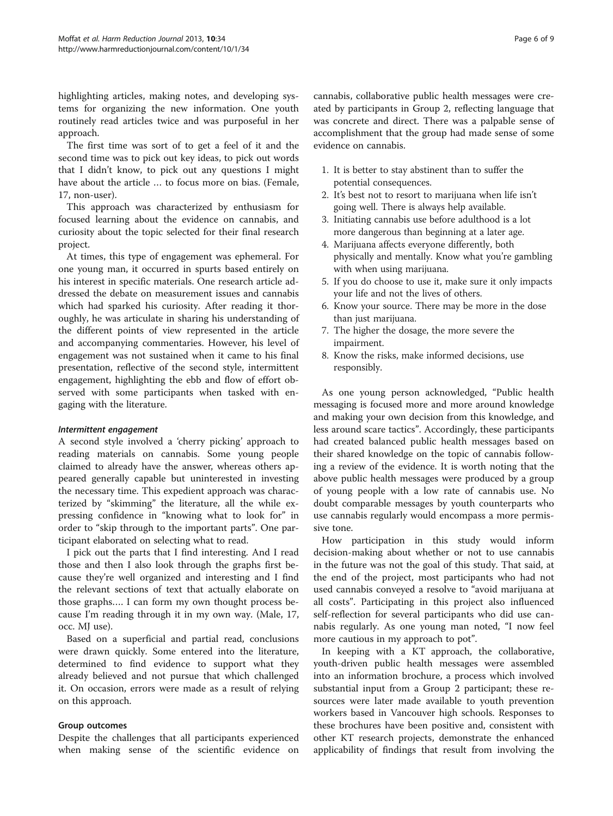highlighting articles, making notes, and developing systems for organizing the new information. One youth routinely read articles twice and was purposeful in her approach.

The first time was sort of to get a feel of it and the second time was to pick out key ideas, to pick out words that I didn't know, to pick out any questions I might have about the article … to focus more on bias. (Female, 17, non-user).

This approach was characterized by enthusiasm for focused learning about the evidence on cannabis, and curiosity about the topic selected for their final research project.

At times, this type of engagement was ephemeral. For one young man, it occurred in spurts based entirely on his interest in specific materials. One research article addressed the debate on measurement issues and cannabis which had sparked his curiosity. After reading it thoroughly, he was articulate in sharing his understanding of the different points of view represented in the article and accompanying commentaries. However, his level of engagement was not sustained when it came to his final presentation, reflective of the second style, intermittent engagement, highlighting the ebb and flow of effort observed with some participants when tasked with engaging with the literature.

A second style involved a 'cherry picking' approach to reading materials on cannabis. Some young people claimed to already have the answer, whereas others appeared generally capable but uninterested in investing the necessary time. This expedient approach was characterized by "skimming" the literature, all the while expressing confidence in "knowing what to look for" in order to "skip through to the important parts". One participant elaborated on selecting what to read.

I pick out the parts that I find interesting. And I read those and then I also look through the graphs first because they're well organized and interesting and I find the relevant sections of text that actually elaborate on those graphs…. I can form my own thought process because I'm reading through it in my own way. (Male, 17, occ. MJ use).

Based on a superficial and partial read, conclusions were drawn quickly. Some entered into the literature, determined to find evidence to support what they already believed and not pursue that which challenged it. On occasion, errors were made as a result of relying on this approach.

## Group outcomes

Despite the challenges that all participants experienced when making sense of the scientific evidence on

cannabis, collaborative public health messages were created by participants in Group 2, reflecting language that was concrete and direct. There was a palpable sense of accomplishment that the group had made sense of some evidence on cannabis.

- 1. It is better to stay abstinent than to suffer the potential consequences.
- 2. It's best not to resort to marijuana when life isn't going well. There is always help available.
- 3. Initiating cannabis use before adulthood is a lot more dangerous than beginning at a later age.
- 4. Marijuana affects everyone differently, both physically and mentally. Know what you're gambling with when using marijuana.
- 5. If you do choose to use it, make sure it only impacts your life and not the lives of others.
- 6. Know your source. There may be more in the dose than just marijuana.
- 7. The higher the dosage, the more severe the impairment.
- 8. Know the risks, make informed decisions, use responsibly.

As one young person acknowledged, "Public health messaging is focused more and more around knowledge and making your own decision from this knowledge, and less around scare tactics". Accordingly, these participants had created balanced public health messages based on their shared knowledge on the topic of cannabis following a review of the evidence. It is worth noting that the above public health messages were produced by a group of young people with a low rate of cannabis use. No doubt comparable messages by youth counterparts who use cannabis regularly would encompass a more permissive tone.

How participation in this study would inform decision-making about whether or not to use cannabis in the future was not the goal of this study. That said, at the end of the project, most participants who had not used cannabis conveyed a resolve to "avoid marijuana at all costs". Participating in this project also influenced self-reflection for several participants who did use cannabis regularly. As one young man noted, "I now feel more cautious in my approach to pot".

In keeping with a KT approach, the collaborative, youth-driven public health messages were assembled into an information brochure, a process which involved substantial input from a Group 2 participant; these resources were later made available to youth prevention workers based in Vancouver high schools. Responses to these brochures have been positive and, consistent with other KT research projects, demonstrate the enhanced applicability of findings that result from involving the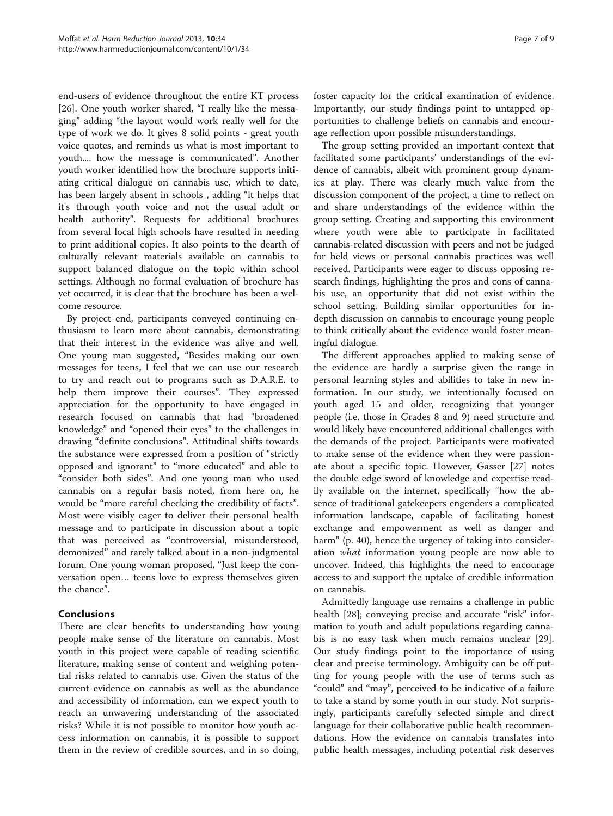end-users of evidence throughout the entire KT process [[26\]](#page-8-0). One youth worker shared, "I really like the messaging" adding "the layout would work really well for the type of work we do. It gives 8 solid points - great youth voice quotes, and reminds us what is most important to youth.... how the message is communicated". Another youth worker identified how the brochure supports initiating critical dialogue on cannabis use, which to date, has been largely absent in schools , adding "it helps that it's through youth voice and not the usual adult or health authority". Requests for additional brochures from several local high schools have resulted in needing to print additional copies. It also points to the dearth of culturally relevant materials available on cannabis to support balanced dialogue on the topic within school settings. Although no formal evaluation of brochure has yet occurred, it is clear that the brochure has been a welcome resource.

By project end, participants conveyed continuing enthusiasm to learn more about cannabis, demonstrating that their interest in the evidence was alive and well. One young man suggested, "Besides making our own messages for teens, I feel that we can use our research to try and reach out to programs such as D.A.R.E. to help them improve their courses". They expressed appreciation for the opportunity to have engaged in research focused on cannabis that had "broadened knowledge" and "opened their eyes" to the challenges in drawing "definite conclusions". Attitudinal shifts towards the substance were expressed from a position of "strictly opposed and ignorant" to "more educated" and able to "consider both sides". And one young man who used cannabis on a regular basis noted, from here on, he would be "more careful checking the credibility of facts". Most were visibly eager to deliver their personal health message and to participate in discussion about a topic that was perceived as "controversial, misunderstood, demonized" and rarely talked about in a non-judgmental forum. One young woman proposed, "Just keep the conversation open… teens love to express themselves given the chance".

# Conclusions

There are clear benefits to understanding how young people make sense of the literature on cannabis. Most youth in this project were capable of reading scientific literature, making sense of content and weighing potential risks related to cannabis use. Given the status of the current evidence on cannabis as well as the abundance and accessibility of information, can we expect youth to reach an unwavering understanding of the associated risks? While it is not possible to monitor how youth access information on cannabis, it is possible to support them in the review of credible sources, and in so doing,

foster capacity for the critical examination of evidence. Importantly, our study findings point to untapped opportunities to challenge beliefs on cannabis and encourage reflection upon possible misunderstandings.

The group setting provided an important context that facilitated some participants' understandings of the evidence of cannabis, albeit with prominent group dynamics at play. There was clearly much value from the discussion component of the project, a time to reflect on and share understandings of the evidence within the group setting. Creating and supporting this environment where youth were able to participate in facilitated cannabis-related discussion with peers and not be judged for held views or personal cannabis practices was well received. Participants were eager to discuss opposing research findings, highlighting the pros and cons of cannabis use, an opportunity that did not exist within the school setting. Building similar opportunities for indepth discussion on cannabis to encourage young people to think critically about the evidence would foster meaningful dialogue.

The different approaches applied to making sense of the evidence are hardly a surprise given the range in personal learning styles and abilities to take in new information. In our study, we intentionally focused on youth aged 15 and older, recognizing that younger people (i.e. those in Grades 8 and 9) need structure and would likely have encountered additional challenges with the demands of the project. Participants were motivated to make sense of the evidence when they were passionate about a specific topic. However, Gasser [[27\]](#page-8-0) notes the double edge sword of knowledge and expertise readily available on the internet, specifically "how the absence of traditional gatekeepers engenders a complicated information landscape, capable of facilitating honest exchange and empowerment as well as danger and harm" (p. 40), hence the urgency of taking into consideration what information young people are now able to uncover. Indeed, this highlights the need to encourage access to and support the uptake of credible information on cannabis.

Admittedly language use remains a challenge in public health [[28\]](#page-8-0); conveying precise and accurate "risk" information to youth and adult populations regarding cannabis is no easy task when much remains unclear [\[29](#page-8-0)]. Our study findings point to the importance of using clear and precise terminology. Ambiguity can be off putting for young people with the use of terms such as "could" and "may", perceived to be indicative of a failure to take a stand by some youth in our study. Not surprisingly, participants carefully selected simple and direct language for their collaborative public health recommendations. How the evidence on cannabis translates into public health messages, including potential risk deserves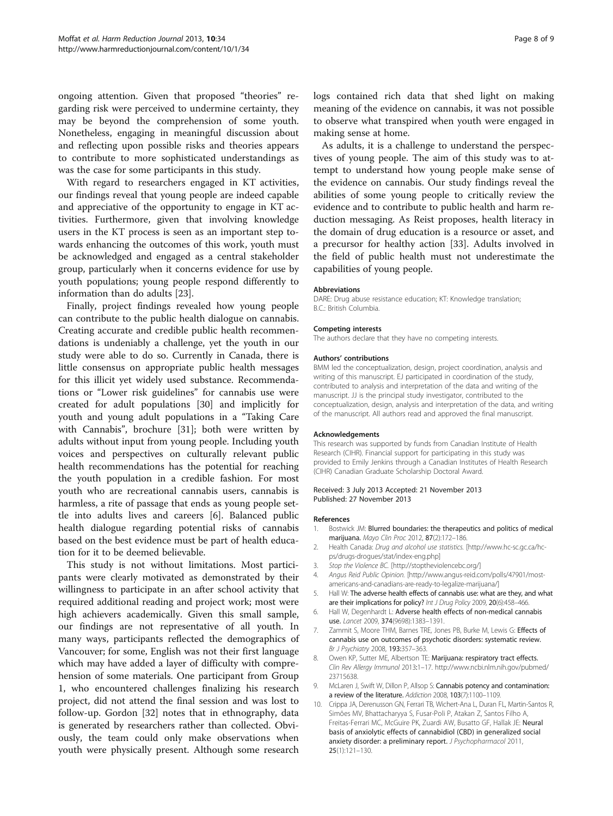<span id="page-7-0"></span>ongoing attention. Given that proposed "theories" regarding risk were perceived to undermine certainty, they may be beyond the comprehension of some youth. Nonetheless, engaging in meaningful discussion about and reflecting upon possible risks and theories appears to contribute to more sophisticated understandings as was the case for some participants in this study.

With regard to researchers engaged in KT activities, our findings reveal that young people are indeed capable and appreciative of the opportunity to engage in KT activities. Furthermore, given that involving knowledge users in the KT process is seen as an important step towards enhancing the outcomes of this work, youth must be acknowledged and engaged as a central stakeholder group, particularly when it concerns evidence for use by youth populations; young people respond differently to information than do adults [\[23](#page-8-0)].

Finally, project findings revealed how young people can contribute to the public health dialogue on cannabis. Creating accurate and credible public health recommendations is undeniably a challenge, yet the youth in our study were able to do so. Currently in Canada, there is little consensus on appropriate public health messages for this illicit yet widely used substance. Recommendations or "Lower risk guidelines" for cannabis use were created for adult populations [\[30](#page-8-0)] and implicitly for youth and young adult populations in a "Taking Care with Cannabis", brochure [[31](#page-8-0)]; both were written by adults without input from young people. Including youth voices and perspectives on culturally relevant public health recommendations has the potential for reaching the youth population in a credible fashion. For most youth who are recreational cannabis users, cannabis is harmless, a rite of passage that ends as young people settle into adults lives and careers [6]. Balanced public health dialogue regarding potential risks of cannabis based on the best evidence must be part of health education for it to be deemed believable.

This study is not without limitations. Most participants were clearly motivated as demonstrated by their willingness to participate in an after school activity that required additional reading and project work; most were high achievers academically. Given this small sample, our findings are not representative of all youth. In many ways, participants reflected the demographics of Vancouver; for some, English was not their first language which may have added a layer of difficulty with comprehension of some materials. One participant from Group 1, who encountered challenges finalizing his research project, did not attend the final session and was lost to follow-up. Gordon [\[32\]](#page-8-0) notes that in ethnography, data is generated by researchers rather than collected. Obviously, the team could only make observations when youth were physically present. Although some research logs contained rich data that shed light on making meaning of the evidence on cannabis, it was not possible to observe what transpired when youth were engaged in making sense at home.

As adults, it is a challenge to understand the perspectives of young people. The aim of this study was to attempt to understand how young people make sense of the evidence on cannabis. Our study findings reveal the abilities of some young people to critically review the evidence and to contribute to public health and harm reduction messaging. As Reist proposes, health literacy in the domain of drug education is a resource or asset, and a precursor for healthy action [[33](#page-8-0)]. Adults involved in the field of public health must not underestimate the capabilities of young people.

#### Abbreviations

DARE: Drug abuse resistance education; KT: Knowledge translation; B.C.: British Columbia.

#### Competing interests

The authors declare that they have no competing interests.

#### Authors' contributions

BMM led the conceptualization, design, project coordination, analysis and writing of this manuscript. EJ participated in coordination of the study, contributed to analysis and interpretation of the data and writing of the manuscript. JJ is the principal study investigator, contributed to the conceptualization, design, analysis and interpretation of the data, and writing of the manuscript. All authors read and approved the final manuscript.

#### Acknowledgements

This research was supported by funds from Canadian Institute of Health Research (CIHR). Financial support for participating in this study was provided to Emily Jenkins through a Canadian Institutes of Health Research (CIHR) Canadian Graduate Scholarship Doctoral Award.

#### Received: 3 July 2013 Accepted: 21 November 2013 Published: 27 November 2013

#### References

- 1. Bostwick JM: Blurred boundaries: the therapeutics and politics of medical marijuana. Mayo Clin Proc 2012, 87(2):172–186.
- 2. Health Canada: Drug and alcohol use statistics. [[http://www.hc-sc.gc.ca/hc](http://www.hc-sc.gc.ca/hc-ps/drugs-drogues/stat/index-eng.php)[ps/drugs-drogues/stat/index-eng.php\]](http://www.hc-sc.gc.ca/hc-ps/drugs-drogues/stat/index-eng.php)
- 3. Stop the Violence BC. [[http://stoptheviolencebc.org/\]](http://stoptheviolencebc.org/)
- 4. Angus Reid Public Opinion. [[http://www.angus-reid.com/polls/47901/most](http://www.angus-reid.com/polls/47901/most-americans-and-canadians-are-ready-to-legalize-marijuana/)[americans-and-canadians-are-ready-to-legalize-marijuana/\]](http://www.angus-reid.com/polls/47901/most-americans-and-canadians-are-ready-to-legalize-marijuana/)
- 5. Hall W: The adverse health effects of cannabis use: what are they, and what are their implications for policy? Int J Drug Policy 2009, 20(6):458-466
- 6. Hall W, Degenhardt L: Adverse health effects of non-medical cannabis use. Lancet 2009, 374(9698):1383–1391.
- 7. Zammit S, Moore THM, Barnes TRE, Jones PB, Burke M, Lewis G: Effects of cannabis use on outcomes of psychotic disorders: systematic review. Br J Psychiatry 2008, 193:357–363.
- 8. Owen KP, Sutter ME, Albertson TE: Marijuana: respiratory tract effects. Clin Rev Allergy Immunol 2013:1–17. [http://www.ncbi.nlm.nih.gov/pubmed/](http://www.ncbi.nlm.nih.gov/pubmed/23715638) [23715638](http://www.ncbi.nlm.nih.gov/pubmed/23715638).
- 9. McLaren J, Swift W, Dillon P, Allsop S: Cannabis potency and contamination: a review of the literature. Addiction 2008, 103(7):1100-1109.
- 10. Crippa JA, Derenusson GN, Ferrari TB, Wichert-Ana L, Duran FL, Martin-Santos R, Simões MV, Bhattacharyya S, Fusar-Poli P, Atakan Z, Santos Filho A, Freitas-Ferrari MC, McGuire PK, Zuardi AW, Busatto GF, Hallak JE: Neural basis of anxiolytic effects of cannabidiol (CBD) in generalized social anxiety disorder: a preliminary report. J Psychopharmacol 2011, 25(1):121–130.